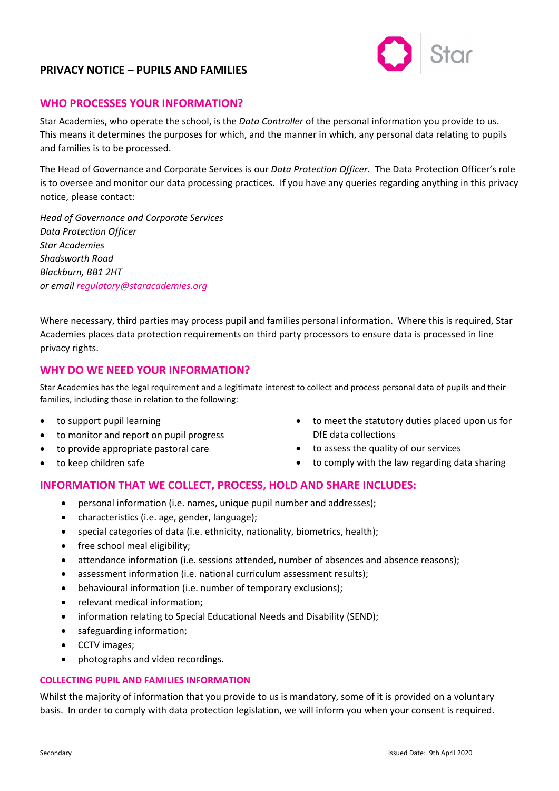

## **WHO PROCESSES YOUR INFORMATION?**

Star Academies, who operate the school, is the *Data Controller* of the personal information you provide to us. This means it determines the purposes for which, and the manner in which, any personal data relating to pupils and families is to be processed.

The Head of Governance and Corporate Services is our *Data Protection Officer*. The Data Protection Officer's role is to oversee and monitor our data processing practices. If you have any queries regarding anything in this privacy notice, please contact:

*Head of Governance and Corporate Services Data Protection Officer Star Academies Shadsworth Road Blackburn, BB1 2HT or emai[l regulatory@staracademies.org](mailto:regulatory@staracademies.org)*

Where necessary, third parties may process pupil and families personal information. Where this is required, Star Academies places data protection requirements on third party processors to ensure data is processed in line privacy rights.

### **WHY DO WE NEED YOUR INFORMATION?**

Star Academies has the legal requirement and a legitimate interest to collect and process personal data of pupils and their families, including those in relation to the following:

- to support pupil learning
- to monitor and report on pupil progress
- to provide appropriate pastoral care
- to keep children safe
- to meet the statutory duties placed upon us for DfE data collections
- to assess the quality of our services
- to comply with the law regarding data sharing

# **INFORMATION THAT WE COLLECT, PROCESS, HOLD AND SHARE INCLUDES:**

- personal information (i.e. names, unique pupil number and addresses);
- characteristics (i.e. age, gender, language);
- special categories of data (i.e. ethnicity, nationality, biometrics, health);
- free school meal eligibility;
- attendance information (i.e. sessions attended, number of absences and absence reasons);
- assessment information (i.e. national curriculum assessment results);
- behavioural information (i.e. number of temporary exclusions);
- relevant medical information;
- information relating to Special Educational Needs and Disability (SEND);
- safeguarding information;
- CCTV images;
- photographs and video recordings.

#### **COLLECTING PUPIL AND FAMILIES INFORMATION**

Whilst the majority of information that you provide to us is mandatory, some of it is provided on a voluntary basis. In order to comply with data protection legislation, we will inform you when your consent is required.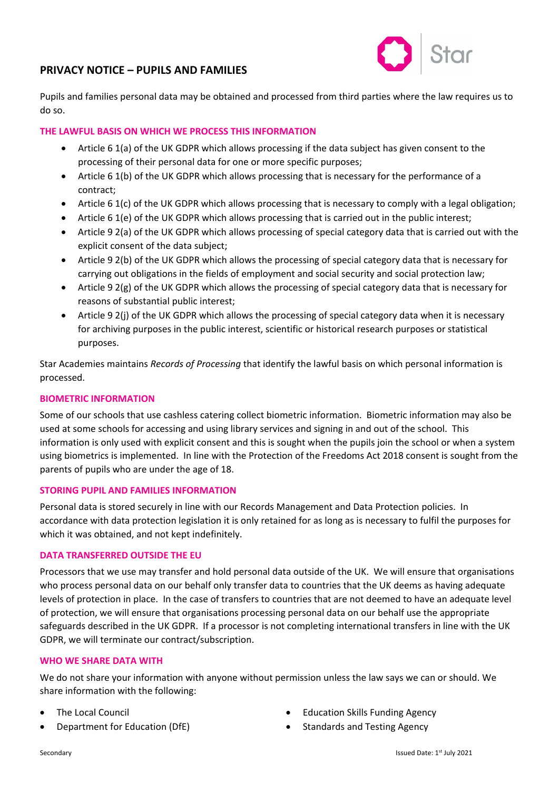

Pupils and families personal data may be obtained and processed from third parties where the law requires us to do so.

#### **THE LAWFUL BASIS ON WHICH WE PROCESS THIS INFORMATION**

- Article 6 1(a) of the UK GDPR which allows processing if the data subject has given consent to the processing of their personal data for one or more specific purposes;
- Article 6 1(b) of the UK GDPR which allows processing that is necessary for the performance of a contract;
- Article 6 1(c) of the UK GDPR which allows processing that is necessary to comply with a legal obligation;
- Article 6 1(e) of the UK GDPR which allows processing that is carried out in the public interest;
- Article 9 2(a) of the UK GDPR which allows processing of special category data that is carried out with the explicit consent of the data subject;
- Article 9 2(b) of the UK GDPR which allows the processing of special category data that is necessary for carrying out obligations in the fields of employment and social security and social protection law;
- Article 9 2(g) of the UK GDPR which allows the processing of special category data that is necessary for reasons of substantial public interest;
- Article 9 2(j) of the UK GDPR which allows the processing of special category data when it is necessary for archiving purposes in the public interest, scientific or historical research purposes or statistical purposes.

Star Academies maintains *Records of Processing* that identify the lawful basis on which personal information is processed.

#### **BIOMETRIC INFORMATION**

Some of our schools that use cashless catering collect biometric information. Biometric information may also be used at some schools for accessing and using library services and signing in and out of the school. This information is only used with explicit consent and this is sought when the pupils join the school or when a system using biometrics is implemented. In line with the Protection of the Freedoms Act 2018 consent is sought from the parents of pupils who are under the age of 18.

#### **STORING PUPIL AND FAMILIES INFORMATION**

Personal data is stored securely in line with our Records Management and Data Protection policies. In accordance with data protection legislation it is only retained for as long as is necessary to fulfil the purposes for which it was obtained, and not kept indefinitely.

#### **DATA TRANSFERRED OUTSIDE THE EU**

Processors that we use may transfer and hold personal data outside of the UK. We will ensure that organisations who process personal data on our behalf only transfer data to countries that the UK deems as having adequate levels of protection in place. In the case of transfers to countries that are not deemed to have an adequate level of protection, we will ensure that organisations processing personal data on our behalf use the appropriate safeguards described in the UK GDPR. If a processor is not completing international transfers in line with the UK GDPR, we will terminate our contract/subscription.

#### **WHO WE SHARE DATA WITH**

We do not share your information with anyone without permission unless the law says we can or should. We share information with the following:

- The Local Council
- Department for Education (DfE)
- Education Skills Funding Agency
- Standards and Testing Agency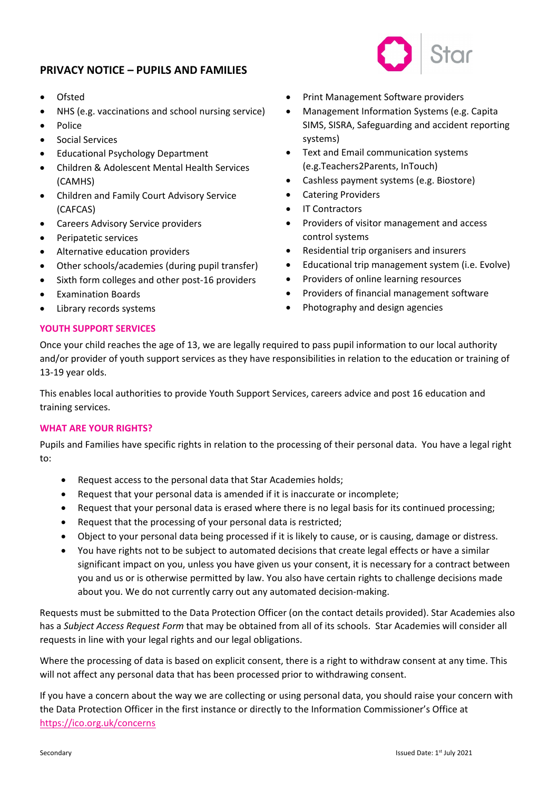- Ofsted
- NHS (e.g. vaccinations and school nursing service)
- Police
- Social Services
- Educational Psychology Department
- Children & Adolescent Mental Health Services (CAMHS)
- Children and Family Court Advisory Service (CAFCAS)
- Careers Advisory Service providers
- Peripatetic services
- Alternative education providers
- Other schools/academies (during pupil transfer)
- Sixth form colleges and other post-16 providers
- Examination Boards
- Library records systems
- Print Management Software providers
- Management Information Systems (e.g. Capita SIMS, SISRA, Safeguarding and accident reporting systems)
- Text and Email communication systems (e.g.Teachers2Parents, InTouch)
- Cashless payment systems (e.g. Biostore)
- Catering Providers
- **IT Contractors**
- Providers of visitor management and access control systems
- Residential trip organisers and insurers
- Educational trip management system (i.e. Evolve)
- Providers of online learning resources
- Providers of financial management software
- Photography and design agencies

### **YOUTH SUPPORT SERVICES**

Once your child reaches the age of 13, we are legally required to pass pupil information to our local authority and/or provider of youth support services as they have responsibilities in relation to the education or training of 13-19 year olds.

This enables local authorities to provide Youth Support Services, careers advice and post 16 education and training services.

### **WHAT ARE YOUR RIGHTS?**

Pupils and Families have specific rights in relation to the processing of their personal data. You have a legal right to:

- Request access to the personal data that Star Academies holds;
- Request that your personal data is amended if it is inaccurate or incomplete;
- Request that your personal data is erased where there is no legal basis for its continued processing;
- Request that the processing of your personal data is restricted;
- Object to your personal data being processed if it is likely to cause, or is causing, damage or distress.
- You have rights not to be subject to automated decisions that create legal effects or have a similar significant impact on you, unless you have given us your consent, it is necessary for a contract between you and us or is otherwise permitted by law. You also have certain rights to challenge decisions made about you. We do not currently carry out any automated decision-making.

Requests must be submitted to the Data Protection Officer (on the contact details provided). Star Academies also has a *Subject Access Request Form* that may be obtained from all of its schools. Star Academies will consider all requests in line with your legal rights and our legal obligations.

Where the processing of data is based on explicit consent, there is a right to withdraw consent at any time. This will not affect any personal data that has been processed prior to withdrawing consent.

If you have a concern about the way we are collecting or using personal data, you should raise your concern with the Data Protection Officer in the first instance or directly to the Information Commissioner's Office at <https://ico.org.uk/concerns>